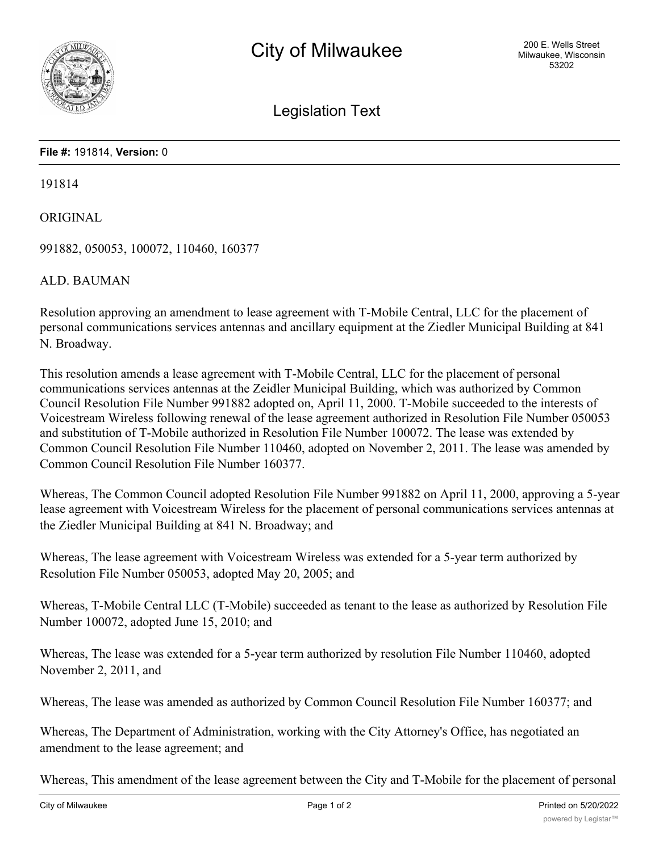

Legislation Text

## **File #:** 191814, **Version:** 0

191814

ORIGINAL

991882, 050053, 100072, 110460, 160377

ALD. BAUMAN

Resolution approving an amendment to lease agreement with T-Mobile Central, LLC for the placement of personal communications services antennas and ancillary equipment at the Ziedler Municipal Building at 841 N. Broadway.

This resolution amends a lease agreement with T-Mobile Central, LLC for the placement of personal communications services antennas at the Zeidler Municipal Building, which was authorized by Common Council Resolution File Number 991882 adopted on, April 11, 2000. T-Mobile succeeded to the interests of Voicestream Wireless following renewal of the lease agreement authorized in Resolution File Number 050053 and substitution of T-Mobile authorized in Resolution File Number 100072. The lease was extended by Common Council Resolution File Number 110460, adopted on November 2, 2011. The lease was amended by Common Council Resolution File Number 160377.

Whereas, The Common Council adopted Resolution File Number 991882 on April 11, 2000, approving a 5-year lease agreement with Voicestream Wireless for the placement of personal communications services antennas at the Ziedler Municipal Building at 841 N. Broadway; and

Whereas, The lease agreement with Voicestream Wireless was extended for a 5-year term authorized by Resolution File Number 050053, adopted May 20, 2005; and

Whereas, T-Mobile Central LLC (T-Mobile) succeeded as tenant to the lease as authorized by Resolution File Number 100072, adopted June 15, 2010; and

Whereas, The lease was extended for a 5-year term authorized by resolution File Number 110460, adopted November 2, 2011, and

Whereas, The lease was amended as authorized by Common Council Resolution File Number 160377; and

Whereas, The Department of Administration, working with the City Attorney's Office, has negotiated an amendment to the lease agreement; and

Whereas, This amendment of the lease agreement between the City and T-Mobile for the placement of personal